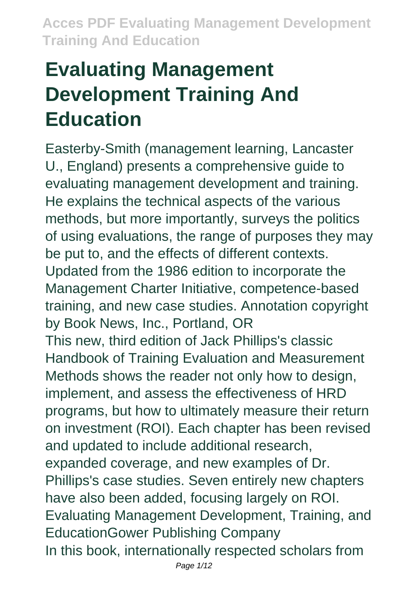# **Evaluating Management Development Training And Education**

Easterby-Smith (management learning, Lancaster U., England) presents a comprehensive guide to evaluating management development and training. He explains the technical aspects of the various methods, but more importantly, surveys the politics of using evaluations, the range of purposes they may be put to, and the effects of different contexts. Updated from the 1986 edition to incorporate the Management Charter Initiative, competence-based training, and new case studies. Annotation copyright by Book News, Inc., Portland, OR This new, third edition of Jack Phillips's classic Handbook of Training Evaluation and Measurement Methods shows the reader not only how to design, implement, and assess the effectiveness of HRD programs, but how to ultimately measure their return on investment (ROI). Each chapter has been revised and updated to include additional research, expanded coverage, and new examples of Dr. Phillips's case studies. Seven entirely new chapters have also been added, focusing largely on ROI. Evaluating Management Development, Training, and EducationGower Publishing Company In this book, internationally respected scholars from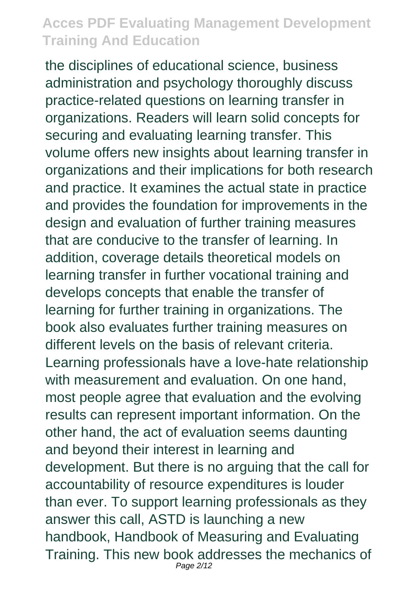the disciplines of educational science, business administration and psychology thoroughly discuss practice-related questions on learning transfer in organizations. Readers will learn solid concepts for securing and evaluating learning transfer. This volume offers new insights about learning transfer in organizations and their implications for both research and practice. It examines the actual state in practice and provides the foundation for improvements in the design and evaluation of further training measures that are conducive to the transfer of learning. In addition, coverage details theoretical models on learning transfer in further vocational training and develops concepts that enable the transfer of learning for further training in organizations. The book also evaluates further training measures on different levels on the basis of relevant criteria. Learning professionals have a love-hate relationship with measurement and evaluation. On one hand, most people agree that evaluation and the evolving results can represent important information. On the other hand, the act of evaluation seems daunting and beyond their interest in learning and development. But there is no arguing that the call for accountability of resource expenditures is louder than ever. To support learning professionals as they answer this call, ASTD is launching a new handbook, Handbook of Measuring and Evaluating Training. This new book addresses the mechanics of Page 2/12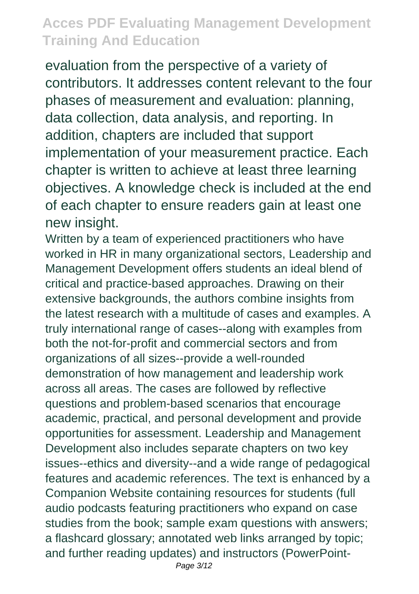evaluation from the perspective of a variety of contributors. It addresses content relevant to the four phases of measurement and evaluation: planning, data collection, data analysis, and reporting. In addition, chapters are included that support implementation of your measurement practice. Each chapter is written to achieve at least three learning objectives. A knowledge check is included at the end of each chapter to ensure readers gain at least one new insight.

Written by a team of experienced practitioners who have worked in HR in many organizational sectors, Leadership and Management Development offers students an ideal blend of critical and practice-based approaches. Drawing on their extensive backgrounds, the authors combine insights from the latest research with a multitude of cases and examples. A truly international range of cases--along with examples from both the not-for-profit and commercial sectors and from organizations of all sizes--provide a well-rounded demonstration of how management and leadership work across all areas. The cases are followed by reflective questions and problem-based scenarios that encourage academic, practical, and personal development and provide opportunities for assessment. Leadership and Management Development also includes separate chapters on two key issues--ethics and diversity--and a wide range of pedagogical features and academic references. The text is enhanced by a Companion Website containing resources for students (full audio podcasts featuring practitioners who expand on case studies from the book; sample exam questions with answers; a flashcard glossary; annotated web links arranged by topic; and further reading updates) and instructors (PowerPoint-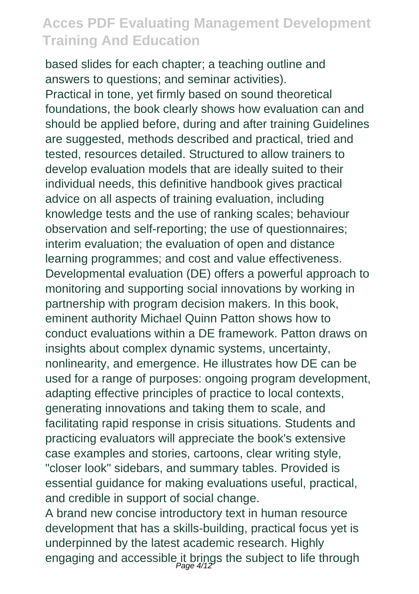based slides for each chapter; a teaching outline and answers to questions; and seminar activities). Practical in tone, yet firmly based on sound theoretical foundations, the book clearly shows how evaluation can and should be applied before, during and after training Guidelines are suggested, methods described and practical, tried and tested, resources detailed. Structured to allow trainers to develop evaluation models that are ideally suited to their individual needs, this definitive handbook gives practical advice on all aspects of training evaluation, including knowledge tests and the use of ranking scales; behaviour observation and self-reporting; the use of questionnaires; interim evaluation; the evaluation of open and distance learning programmes; and cost and value effectiveness. Developmental evaluation (DE) offers a powerful approach to monitoring and supporting social innovations by working in partnership with program decision makers. In this book, eminent authority Michael Quinn Patton shows how to conduct evaluations within a DE framework. Patton draws on insights about complex dynamic systems, uncertainty, nonlinearity, and emergence. He illustrates how DE can be used for a range of purposes: ongoing program development, adapting effective principles of practice to local contexts, generating innovations and taking them to scale, and facilitating rapid response in crisis situations. Students and practicing evaluators will appreciate the book's extensive case examples and stories, cartoons, clear writing style, "closer look" sidebars, and summary tables. Provided is essential guidance for making evaluations useful, practical, and credible in support of social change.

A brand new concise introductory text in human resource development that has a skills-building, practical focus yet is underpinned by the latest academic research. Highly engaging and accessible it brings the subject to life through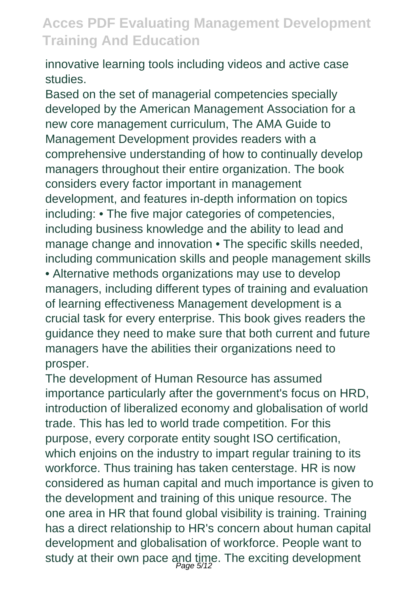innovative learning tools including videos and active case studies.

Based on the set of managerial competencies specially developed by the American Management Association for a new core management curriculum, The AMA Guide to Management Development provides readers with a comprehensive understanding of how to continually develop managers throughout their entire organization. The book considers every factor important in management development, and features in-depth information on topics including: • The five major categories of competencies, including business knowledge and the ability to lead and manage change and innovation • The specific skills needed, including communication skills and people management skills • Alternative methods organizations may use to develop managers, including different types of training and evaluation of learning effectiveness Management development is a crucial task for every enterprise. This book gives readers the guidance they need to make sure that both current and future managers have the abilities their organizations need to prosper.

The development of Human Resource has assumed importance particularly after the government's focus on HRD, introduction of liberalized economy and globalisation of world trade. This has led to world trade competition. For this purpose, every corporate entity sought ISO certification, which enjoins on the industry to impart regular training to its workforce. Thus training has taken centerstage. HR is now considered as human capital and much importance is given to the development and training of this unique resource. The one area in HR that found global visibility is training. Training has a direct relationship to HR's concern about human capital development and globalisation of workforce. People want to study at their own pace and time. The exciting development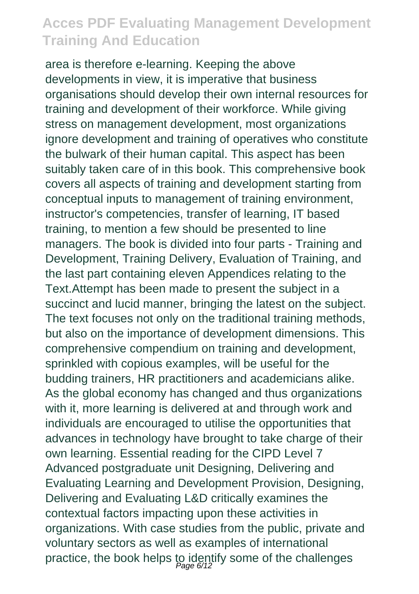area is therefore e-learning. Keeping the above developments in view, it is imperative that business organisations should develop their own internal resources for training and development of their workforce. While giving stress on management development, most organizations ignore development and training of operatives who constitute the bulwark of their human capital. This aspect has been suitably taken care of in this book. This comprehensive book covers all aspects of training and development starting from conceptual inputs to management of training environment, instructor's competencies, transfer of learning, IT based training, to mention a few should be presented to line managers. The book is divided into four parts - Training and Development, Training Delivery, Evaluation of Training, and the last part containing eleven Appendices relating to the Text.Attempt has been made to present the subject in a succinct and lucid manner, bringing the latest on the subject. The text focuses not only on the traditional training methods, but also on the importance of development dimensions. This comprehensive compendium on training and development, sprinkled with copious examples, will be useful for the budding trainers, HR practitioners and academicians alike. As the global economy has changed and thus organizations with it, more learning is delivered at and through work and individuals are encouraged to utilise the opportunities that advances in technology have brought to take charge of their own learning. Essential reading for the CIPD Level 7 Advanced postgraduate unit Designing, Delivering and Evaluating Learning and Development Provision, Designing, Delivering and Evaluating L&D critically examines the contextual factors impacting upon these activities in organizations. With case studies from the public, private and voluntary sectors as well as examples of international practice, the book helps to identify some of the challenges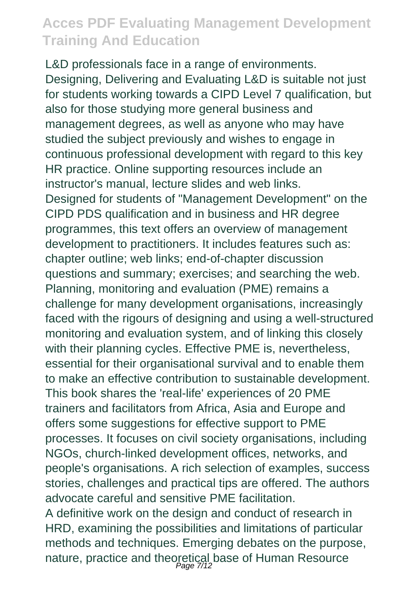L&D professionals face in a range of environments. Designing, Delivering and Evaluating L&D is suitable not just for students working towards a CIPD Level 7 qualification, but also for those studying more general business and management degrees, as well as anyone who may have studied the subject previously and wishes to engage in continuous professional development with regard to this key HR practice. Online supporting resources include an instructor's manual, lecture slides and web links. Designed for students of "Management Development" on the CIPD PDS qualification and in business and HR degree programmes, this text offers an overview of management development to practitioners. It includes features such as: chapter outline; web links; end-of-chapter discussion questions and summary; exercises; and searching the web. Planning, monitoring and evaluation (PME) remains a challenge for many development organisations, increasingly faced with the rigours of designing and using a well-structured monitoring and evaluation system, and of linking this closely with their planning cycles. Effective PME is, nevertheless, essential for their organisational survival and to enable them to make an effective contribution to sustainable development. This book shares the 'real-life' experiences of 20 PME trainers and facilitators from Africa, Asia and Europe and offers some suggestions for effective support to PME processes. It focuses on civil society organisations, including NGOs, church-linked development offices, networks, and people's organisations. A rich selection of examples, success stories, challenges and practical tips are offered. The authors advocate careful and sensitive PME facilitation. A definitive work on the design and conduct of research in HRD, examining the possibilities and limitations of particular methods and techniques. Emerging debates on the purpose, nature, practice and theoretical base of Human Resource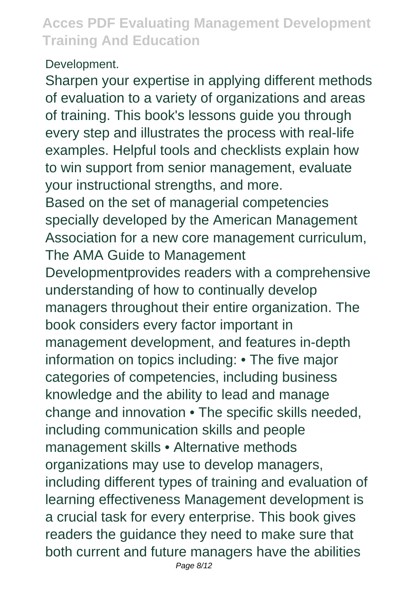#### Development.

Sharpen your expertise in applying different methods of evaluation to a variety of organizations and areas of training. This book's lessons guide you through every step and illustrates the process with real-life examples. Helpful tools and checklists explain how to win support from senior management, evaluate your instructional strengths, and more. Based on the set of managerial competencies specially developed by the American Management Association for a new core management curriculum, The AMA Guide to Management Developmentprovides readers with a comprehensive understanding of how to continually develop managers throughout their entire organization. The book considers every factor important in management development, and features in-depth information on topics including: • The five major categories of competencies, including business knowledge and the ability to lead and manage change and innovation • The specific skills needed, including communication skills and people management skills • Alternative methods organizations may use to develop managers, including different types of training and evaluation of learning effectiveness Management development is a crucial task for every enterprise. This book gives readers the guidance they need to make sure that both current and future managers have the abilities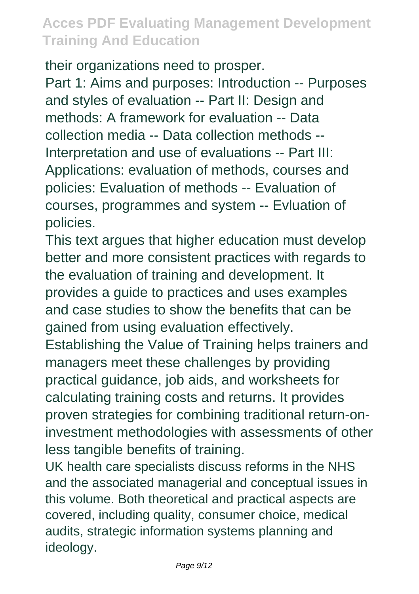their organizations need to prosper.

Part 1: Aims and purposes: Introduction -- Purposes and styles of evaluation -- Part II: Design and methods: A framework for evaluation -- Data collection media -- Data collection methods -- Interpretation and use of evaluations -- Part III: Applications: evaluation of methods, courses and policies: Evaluation of methods -- Evaluation of courses, programmes and system -- Evluation of policies.

This text argues that higher education must develop better and more consistent practices with regards to the evaluation of training and development. It provides a guide to practices and uses examples and case studies to show the benefits that can be gained from using evaluation effectively.

Establishing the Value of Training helps trainers and managers meet these challenges by providing practical guidance, job aids, and worksheets for calculating training costs and returns. It provides proven strategies for combining traditional return-oninvestment methodologies with assessments of other less tangible benefits of training.

UK health care specialists discuss reforms in the NHS and the associated managerial and conceptual issues in this volume. Both theoretical and practical aspects are covered, including quality, consumer choice, medical audits, strategic information systems planning and ideology.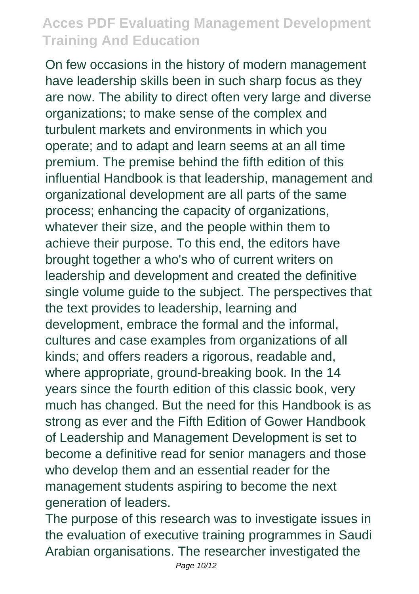On few occasions in the history of modern management have leadership skills been in such sharp focus as they are now. The ability to direct often very large and diverse organizations; to make sense of the complex and turbulent markets and environments in which you operate; and to adapt and learn seems at an all time premium. The premise behind the fifth edition of this influential Handbook is that leadership, management and organizational development are all parts of the same process; enhancing the capacity of organizations, whatever their size, and the people within them to achieve their purpose. To this end, the editors have brought together a who's who of current writers on leadership and development and created the definitive single volume guide to the subject. The perspectives that the text provides to leadership, learning and development, embrace the formal and the informal, cultures and case examples from organizations of all kinds; and offers readers a rigorous, readable and, where appropriate, ground-breaking book. In the 14 years since the fourth edition of this classic book, very much has changed. But the need for this Handbook is as strong as ever and the Fifth Edition of Gower Handbook of Leadership and Management Development is set to become a definitive read for senior managers and those who develop them and an essential reader for the management students aspiring to become the next generation of leaders.

The purpose of this research was to investigate issues in the evaluation of executive training programmes in Saudi Arabian organisations. The researcher investigated the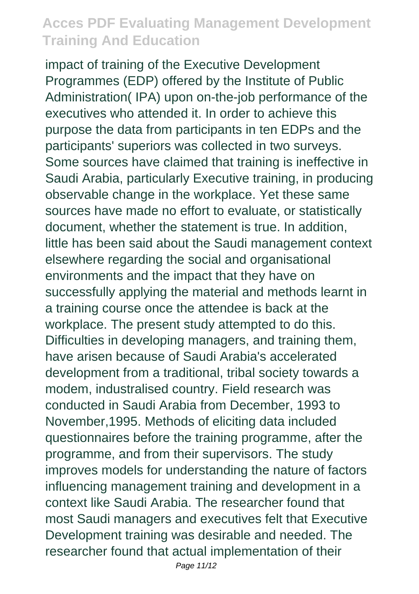impact of training of the Executive Development Programmes (EDP) offered by the Institute of Public Administration( IPA) upon on-the-job performance of the executives who attended it. In order to achieve this purpose the data from participants in ten EDPs and the participants' superiors was collected in two surveys. Some sources have claimed that training is ineffective in Saudi Arabia, particularly Executive training, in producing observable change in the workplace. Yet these same sources have made no effort to evaluate, or statistically document, whether the statement is true. In addition, little has been said about the Saudi management context elsewhere regarding the social and organisational environments and the impact that they have on successfully applying the material and methods learnt in a training course once the attendee is back at the workplace. The present study attempted to do this. Difficulties in developing managers, and training them, have arisen because of Saudi Arabia's accelerated development from a traditional, tribal society towards a modem, industralised country. Field research was conducted in Saudi Arabia from December, 1993 to November,1995. Methods of eliciting data included questionnaires before the training programme, after the programme, and from their supervisors. The study improves models for understanding the nature of factors influencing management training and development in a context like Saudi Arabia. The researcher found that most Saudi managers and executives felt that Executive Development training was desirable and needed. The researcher found that actual implementation of their